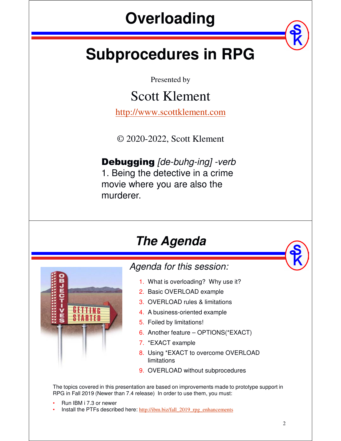# **Overloading**

# **Subprocedures in RPG**

Presented by

### Scott Klement

http://www.scottklement.com

© 2020-2022, Scott Klement

Debugging *[de-buhg-ing] -verb* 1. Being the detective in a crime movie where you are also the murderer.

#### *The Agenda*



#### *Agenda for this session:*

- 1. What is overloading? Why use it?
- 2. Basic OVERLOAD example
- 3. OVERLOAD rules & limitations
- 4. A business-oriented example
- 5. Foiled by limitations!
- 6. Another feature OPTIONS(\*EXACT)
- 7. \*EXACT example
- 8. Using \*EXACT to overcome OVERLOAD limitations
- 9. OVERLOAD without subprocedures

The topics covered in this presentation are based on improvements made to prototype support in RPG in Fall 2019 (Newer than 7.4 release) In order to use them, you must:

- Run IBM i 7.3 or newer
- Install the PTFs described here: http://ibm.biz/fall\_2019\_rpg\_enhancements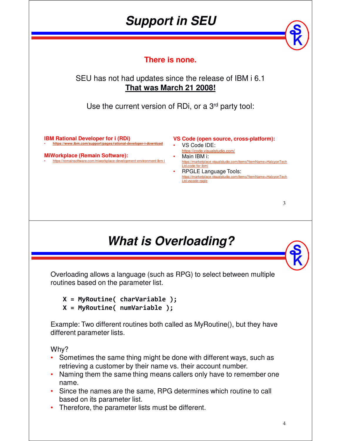### *Support in SEU*

**There is none.**

#### SEU has not had updates since the release of IBM i 6.1 **That was March 21 2008!**

Use the current version of RDi, or a 3<sup>rd</sup> party tool:

**IBM Rational Developer for i (RDi)** • **https://www.ibm.com/support/pages/rational-developer-i-download**

**MiWorkplace (Remain Software):** • https://remainsoftware.com/miworkplace-development-environment-ibm-i

#### **VS Code (open source, cross-platform):**

- VS Code IDE: https://code.visualstudio.com/
- Main IBM i: https://marketplace.visualstudio.com/items?itemName=HalcyonTech Ltd.code-for-ibmi
- RPGLE Language Tools:<br>https://marketplace.visualstudio.com/ite visualstudio.com/items?itemName=HalcyonTech Ltd.vscode-rpgle

#### *What is Overloading?*

Overloading allows a language (such as RPG) to select between multiple routines based on the parameter list.

**X = MyRoutine( charVariable );**

**X = MyRoutine( numVariable );**

Example: Two different routines both called as MyRoutine(), but they have different parameter lists.

Why?

- Sometimes the same thing might be done with different ways, such as retrieving a customer by their name vs. their account number.
- Naming them the same thing means callers only have to remember one name.
- Since the names are the same, RPG determines which routine to call based on its parameter list.
- Therefore, the parameter lists must be different.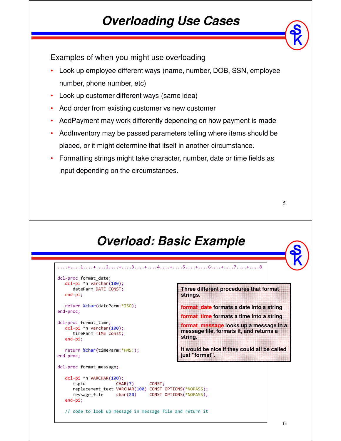#### *Overloading Use Cases*

Examples of when you might use overloading

- Look up employee different ways (name, number, DOB, SSN, employee number, phone number, etc)
- Look up customer different ways (same idea)
- Add order from existing customer vs new customer
- AddPayment may work differently depending on how payment is made
- AddInventory may be passed parameters telling where items should be placed, or it might determine that itself in another circumstance.
- Formatting strings might take character, number, date or time fields as input depending on the circumstances.



```
....+....1....+....2....+....3....+....4....+....5....+....6....+....7....+....8 
dcl-proc format_date;
  dcl-pi *n varchar(100);
      dateParm DATE CONST;
  end-pi;
  return %char(dateParm:*ISO);
end-proc;
dcl-proc format_time;
  dcl-pi *n varchar(100);
     timeParm TIME const;
   end-pi;
  return %char(timeParm:*HMS:);
end-proc;
dcl-proc format_message;
  dcl-pi *n VARCHAR(100);
      msgid CHAR(7) CONST;
      replacement_text VARCHAR(100) CONST OPTIONS(*NOPASS);
      message_file char(20) CONST OPTIONS(*NOPASS);
   end-pi;
   // code to look up message in message file and return it 
                                                Three different procedures that format 
                                                strings.
                                                format_date formats a date into a string
                                                format_time formats a time into a string
                                                format_message looks up a message in a 
                                                message file, formats it, and returns a 
                                                string.
                                                It would be nice if they could all be called 
                                                just "format".
```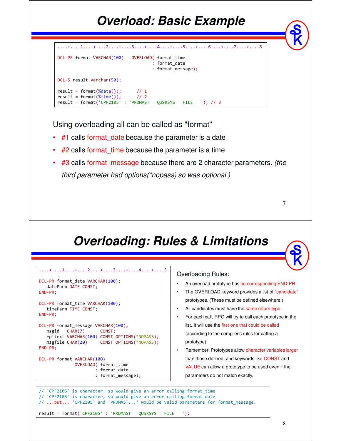## *Overload: Basic Example*

|                                                                                                                      | $\dots$ + $\dots$ 1 $\dots$ + $\dots$ 2 $\dots$ + $\dots$ 3 $\dots$ + $\dots$ 3 $\dots$ + $\dots$ 4 $\dots$ + $\dots$ 5 $\dots$ + $\dots$ 6 $\dots$ + $\dots$ 7 $\dots$ + $\dots$ 8 |
|----------------------------------------------------------------------------------------------------------------------|-------------------------------------------------------------------------------------------------------------------------------------------------------------------------------------|
| DCL-PR format VARCHAR(100)                                                                                           | OVERLOAD (format time<br>: format date<br>: format message);                                                                                                                        |
| $DCL-S$ result varchar( $50$ );                                                                                      |                                                                                                                                                                                     |
| $result = format(\%date())$ ; // 1<br>$result = format(\%time())$ ; // 2<br>$result = format('CPF2105' : 'PRDMAST')$ | <b>OUSRSYS</b><br>FILE '); // 3                                                                                                                                                     |

Using overloading all can be called as "format"

- $#1$  calls format date because the parameter is a date
- $#2$  calls format time because the parameter is a time
- #3 calls format\_message because there are 2 character parameters. *(the third parameter had options(\*nopass) so was optional.)*

#### *Overloading: Rules & Limitations*



#### Overloading Rules:

- An overload prototype has no corresponding END-PR
- The OVERLOAD keyword provides a list of "candidate" prototypes. (These must be defined elsewhere.)
- All candidates must have the same return type
- For each call, RPG will try to call each prototype in the list. It will use the first one that could be called (according to the compiler's rules for calling a prototype)
- Remember: Prototypes allow character variables larger than those defined, and keywords like CONST and VALUE can allow a prototype to be used even if the parameters do not match exactly.

// 'CPF2105' is character, so would give an error calling format\_time // 'CPF2105' is character, so would give an error calling format\_date // ...but... 'CPF2105' and 'PRDMAST...' would be valid parameters for format message. result = format('CPF2105' : 'PRDMAST QUSRSYS FILE ');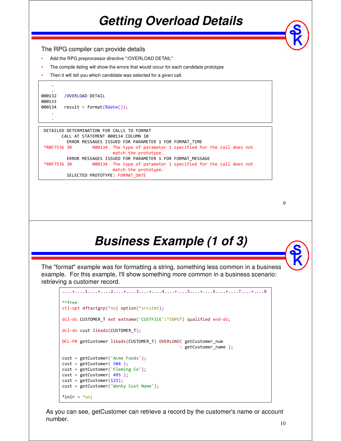#### *Getting Overload Details*

The RPG compiler can provide details

- Add the RPG preprocessor directive "/OVERLOAD DETAIL"
- The compile listing will show the errors that would occur for each candidate prototype
- Then it will tell you which candidate was selected for a given call.

```
.
000132 /OVERLOAD DETAIL
000133
000134 result = format(\%date());
    .
```
.

.

```
DETAILED DETERMINATION FOR CALLS TO FORMAT 
      CALL AT STATEMENT 000134 COLUMN 10 
        ERROR MESSAGES ISSUED FOR PARAMETER 1 FOR FORMAT_TIME 
*RNF7536 30 000134 The type of parameter 1 specified for the call does not 
                          match the prototype. 
        ERROR MESSAGES ISSUED FOR PARAMETER 1 FOR FORMAT_MESSAGE 
*RNF7536 30 000134 The type of parameter 1 specified for the call does not 
                          match the prototype. 
        SELECTED PROTOTYPE: FORMAT_DATE
```

```
9
```
#### *Business Example (1 of 3)*

The "format" example was for formatting a string, something less common in a business example. For this example, I'll show something more common in a business scenario: retrieving a customer record.

```
....+....1....+....2....+....3....+....4....+....5....+....6....+....7....+....8 
**free
ctl-opt dftactgrp(*no) option(*srcstmt);
dcl-ds CUSTOMER_T ext extname('CUSTFILE':*INPUT) qualified end-ds;
dcl-ds cust likeds(CUSTOMER_T);
DCL-PR getCustomer likeds(CUSTOMER T) OVERLOAD( getCustomer num
                                              : getCustomer name );
cust = getCustomer('Acme Foods');
cust = getCustomer( 504 );
cust = getCustomer('Fleming Co');
cust = getCustomer(495);
cust = getCustomer(123);cust = getCustomer('Wonky Cust Name');
*in1r = *on;
```
As you can see, getCustomer can retrieve a record by the customer's name or account number.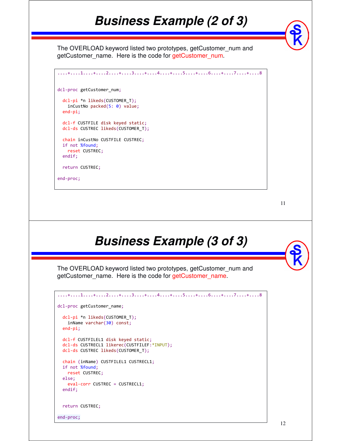#### *Business Example (2 of 3)*

The OVERLOAD keyword listed two prototypes, getCustomer\_num and getCustomer\_name. Here is the code for getCustomer\_num.

```
....+....1....+....2....+....3....+....4....+....5....+....6....+....7....+....8 
dcl-proc getCustomer_num;
  dcl-pi *n likeds(CUSTOMER_T);
   inCustNo packed(5: 0) value;
  end-pi;
  dcl-f CUSTFILE disk keyed static;
  dcl-ds CUSTREC likeds(CUSTOMER_T);
  chain inCustNo CUSTFILE CUSTREC;
 if not %found;
   reset CUSTREC;
  endif;
  return CUSTREC;
end-proc;
```
11

#### *Business Example (3 of 3)*

The OVERLOAD keyword listed two prototypes, getCustomer\_num and getCustomer name. Here is the code for getCustomer name.

```
....+....1....+....2....+....3....+....4....+....5....+....6....+....7....+....8 
dcl-proc getCustomer_name;
  dcl-pi *n likeds(CUSTOMER_T);
   inName varchar(30) const;
  end-pi;
  dcl-f CUSTFILEL1 disk keyed static;
  dcl-ds CUSTRECL1 likerec(CUSTFILEF:*INPUT);
  dcl-ds CUSTREC likeds(CUSTOMER_T);
  chain (inName) CUSTFILEL1 CUSTRECL1;
  if not %found;
   reset CUSTREC;
  else;
   eval-corr CUSTREC = CUSTRECL1;
  endif;
  return CUSTREC;
end-proc;
```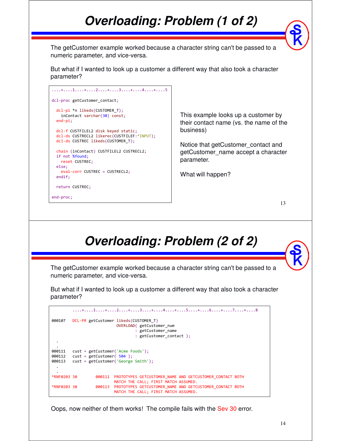## *Overloading: Problem (1 of 2)*

The getCustomer example worked because a character string can't be passed to a numeric parameter, and vice-versa.

But what if I wanted to look up a customer a different way that also took a character parameter?

| . + 1 + 2 + 3 + 4 + 5                                                                                                            |
|----------------------------------------------------------------------------------------------------------------------------------|
| dcl-proc getCustomer contact;                                                                                                    |
| dcl-pi *n likeds(CUSTOMER T);<br>inContact varchar(30) const;<br>$end-pi;$                                                       |
| dcl-f CUSTFILEL2 disk keyed static;<br>dcl-ds CUSTRECL2 likerec(CUSTFILEF:*INPUT);<br>dcl-ds CUSTREC likeds(CUSTOMER T);         |
| chain (inContact) CUSTFILEL2 CUSTRECL2;<br>if not %found;<br>reset CUSTREC;<br>else;<br>eval-corr CUSTREC = CUSTRECL2;<br>endif; |
| return CUSTREC;                                                                                                                  |
| end-proc;                                                                                                                        |

This example looks up a customer by their contact name (vs. the name of the business)

Notice that getCustomer\_contact and getCustomer\_name accept a character parameter.

What will happen?

13

### *Overloading: Problem (2 of 2)*

The getCustomer example worked because a character string can't be passed to a numeric parameter, and vice-versa.

But what if I wanted to look up a customer a different way that also took a character parameter?

```
....+....1....+....2....+....3....+....4....+....5....+....6....+....7....+....8 
000107 DCL-PR getCustomer likeds(CUSTOMER_T)
                           OVERLOAD( getCustomer_num
                                  : getCustomer_name
                                   : getCustomer_contact );
  .
  .
000111 cust = getCustomer('Acme Foods');
000112 cust = getCustomer( 504 );
000113 cust = getCustomer('George Smith');
  .
*RNF0203 30
                  000111 PROTOTYPES GETCUSTOMER NAME AND GETCUSTOMER CONTACT BOTH
                          MATCH THE CALL; FIRST MATCH ASSUMED. 
*RNF0203 30 000113 PROTOTYPES GETCUSTOMER_NAME AND GETCUSTOMER_CONTACT BOTH
                          MATCH THE CALL; FIRST MATCH ASSUMED.
```
Oops, now neither of them works! The compile fails with the Sev 30 error.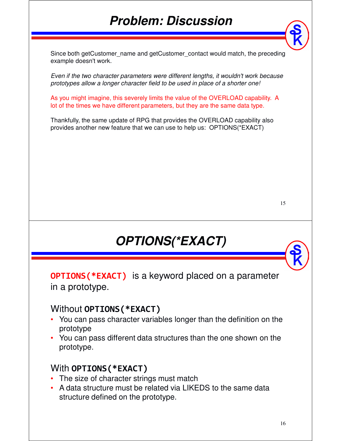### *Problem: Discussion*

Since both getCustomer\_name and getCustomer\_contact would match, the preceding example doesn't work.

*Even if the two character parameters were different lengths, it wouldn't work because prototypes allow a longer character field to be used in place of a shorter one!*

As you might imagine, this severely limits the value of the OVERLOAD capability. A lot of the times we have different parameters, but they are the same data type.

Thankfully, the same update of RPG that provides the OVERLOAD capability also provides another new feature that we can use to help us: OPTIONS(\*EXACT)

## *OPTIONS(\*EXACT)*

**OPTIONS(\*EXACT)** is a keyword placed on a parameter in a prototype.

#### Without **OPTIONS(\*EXACT)**

- You can pass character variables longer than the definition on the prototype
- You can pass different data structures than the one shown on the prototype.

#### With **OPTIONS(\*EXACT)**

- The size of character strings must match
- A data structure must be related via LIKEDS to the same data structure defined on the prototype.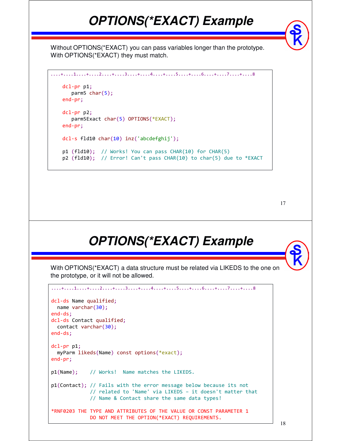### *OPTIONS(\*EXACT) Example*

Without OPTIONS(\*EXACT) you can pass variables longer than the prototype. With OPTIONS(\*EXACT) they must match.

```
....+....1....+....2....+....3....+....4....+....5....+....6....+....7....+....8 
   dcl-pr p1;
      parm5 char(5);
   end-pr;
   dcl-pr p2;
      parm5Exact char(5) OPTIONS(*EXACT);
   end-pr;
   dcl-s fld10 char(10) inz('abcdefghij');
   p1 (fld10); // Works! You can pass CHAR(10) for CHAR(5)
   p2 (fld10); // Error! Can't pass CHAR(10) to char(5) due to *EXACT
```

```
17
```
### *OPTIONS(\*EXACT) Example*

With OPTIONS(\*EXACT) a data structure must be related via LIKEDS to the one on the prototype, or it will not be allowed.

```
....+....1....+....2....+....3....+....4....+....5....+....6....+....7....+....8 
dcl-ds Name qualified;
 name varchar(30);
end-ds;
dcl-ds Contact qualified;
 contact varchar(30);
end-ds;
dcl-pr p1;
  myParm likeds(Name) const options(*exact);
end-pr;
p1(Name); // Works! Name matches the LIKEDS.
p1(Contact); // Fails with the error message below because its not
             // related to 'Name' via LIKEDS – it doesn't matter that
             // Name & Contact share the same data types!
*RNF0203 THE TYPE AND ATTRIBUTES OF THE VALUE OR CONST PARAMETER 1
             DO NOT MEET THE OPTION(*EXACT) REQUIREMENTS.
```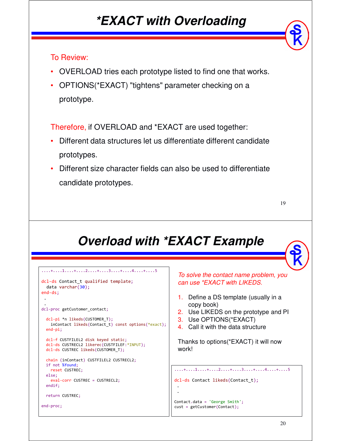#### *\*EXACT with Overloading*

#### To Review:

- OVERLOAD tries each prototype listed to find one that works.
- OPTIONS(\*EXACT) "tightens" parameter checking on a prototype.

Therefore, if OVERLOAD and \*EXACT are used together:

- Different data structures let us differentiate different candidate prototypes.
- Different size character fields can also be used to differentiate candidate prototypes.

```
19
```
### *Overload with \*EXACT Example*

```
....+....1....+....2....+....3....+....4....+....5 
dcl-ds Contact_t qualified template;
 data varchar(30);
end-ds;
 .
 .
dcl-proc getCustomer_contact;
 dcl-pi *n likeds(CUSTOMER_T);
   inContact likeds(Contact_t) const options(*exact);
 end-pi;
 dcl-f CUSTFILEL2 disk keyed static;
 dcl-ds CUSTRECL2 likerec(CUSTFILEF:*INPUT);
 dcl-ds CUSTREC likeds(CUSTOMER_T);
 chain (inContact) CUSTFILEL2 CUSTRECL2;
 if not %found;
   reset CUSTREC;
 else;
   eval-corr CUSTREC = CUSTRECL2;
 endif;
 return CUSTREC;
end-proc;
                                                       To solve the contact name problem, you 
                                                       can use *EXACT with LIKEDS.
                                                       1. Define a DS template (usually in a 
                                                           copy book)
                                                       2. Use LIKEDS on the prototype and PI
                                                       3. Use OPTIONS(*EXACT)
                                                       4. Call it with the data structure
                                                       Thanks to options(*EXACT) it will now 
                                                       work!
                                                      ....+....1....+....2....+....3....+....4....+....5 
                                                      dcl-ds Contact likeds(Contact_t);
                                                       .
                                                       .
                                                      Contact.data = 'George Smith';
                                                      cust = getCustomer(Contact);
```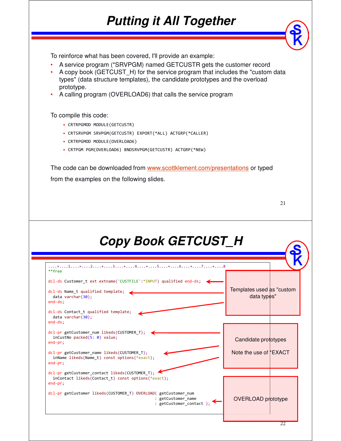### *Putting it All Together*

To reinforce what has been covered, I'll provide an example:

- A service program (\*SRVPGM) named GETCUSTR gets the customer record
- A copy book (GETCUST\_H) for the service program that includes the "custom data types" (data structure templates), the candidate prototypes and the overload prototype.
- A calling program (OVERLOAD6) that calls the service program

To compile this code:

- CRTRPGMOD MODULE(GETCUSTR)
- CRTSRVPGM SRVPGM(GETCUSTR) EXPORT(\*ALL) ACTGRP(\*CALLER)
- CRTRPGMOD MODULE(OVERLOAD6)
- CRTPGM PGM(OVERLOAD6) BNDSRVPGM(GETCUSTR) ACTGRP(\*NEW)

The code can be downloaded from www.scottklement.com/presentations or typed from the examples on the following slides.

| ۰.<br>I<br>I |   |
|--------------|---|
|              | ш |

 $\mathbf{S}$ 

#### *Copy Book GETCUST\_H*

| **free                                                             |                          |                            |
|--------------------------------------------------------------------|--------------------------|----------------------------|
| dcl-ds Customer t ext extname('CUSTFILE':*INPUT) qualified end-ds; |                          |                            |
| dcl-ds Name_t qualified template;                                  |                          | Templates used as "custom" |
| data varchar $(30)$ ;                                              |                          | data types"                |
| $end-ds$ ;                                                         |                          |                            |
| dcl-ds Contact_t qualified template;                               |                          |                            |
| data varchar $(30)$ ;                                              |                          |                            |
| $end-ds$ ;                                                         |                          |                            |
| dcl-pr getCustomer num likeds(CUSTOMER T);                         |                          |                            |
| inCustNo packed(5: 0) value;                                       |                          | Candidate prototypes       |
| $end-pr;$                                                          |                          |                            |
| dcl-pr getCustomer name likeds(CUSTOMER T);                        |                          | Note the use of "EXACT"    |
| inName likeds(Name t) const options(*exact);                       |                          |                            |
| $end-pr;$                                                          |                          |                            |
| dcl-pr getCustomer contact likeds(CUSTOMER T);                     |                          |                            |
| inContact likeds(Contact t) const options(*exact);                 |                          |                            |
| $end-pr$ :                                                         |                          |                            |
| dcl-pr getCustomer likeds(CUSTOMER_T) OVERLOAD( getCustomer num    |                          |                            |
|                                                                    | : getCustomer_name       | OVERLOAD prototype         |
|                                                                    | : getCustomer_contact ); |                            |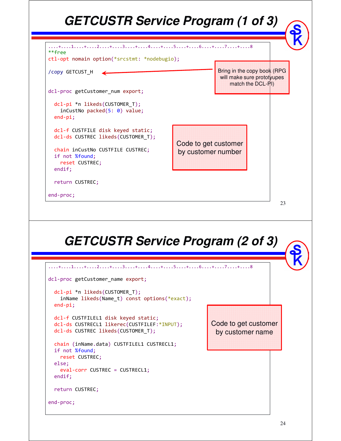### *GETCUSTR Service Program (1 of 3)*



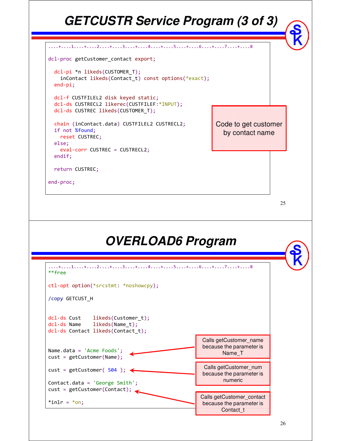#### *GETCUSTR Service Program (3 of 3)* ....+....1....+....2....+....3....+....4....+....5....+....6....+....7....+....8 dcl-proc getCustomer contact export; dcl-pi \*n likeds(CUSTOMER\_T); inContact likeds(Contact\_t) const options(\*exact); end-pi; dcl-f CUSTFILEL2 disk keyed static; dcl-ds CUSTRECL2 likerec(CUSTFILEF:\*INPUT); dcl-ds CUSTREC likeds(CUSTOMER\_T); chain (inContact.data) CUSTFILEL2 CUSTRECL2; if not %found; reset CUSTREC; else; eval-corr CUSTREC = CUSTRECL2; endif; return CUSTREC; Code to get customer by contact name

end-proc;

| <b>OVERLOAD6 Program</b>                                                                            |                                                              |  |  |  |
|-----------------------------------------------------------------------------------------------------|--------------------------------------------------------------|--|--|--|
| +1+2+3+4+5+6+7+8<br>$**frep$                                                                        |                                                              |  |  |  |
| ctl-opt option(*srcstmt: *noshowcpy);                                                               |                                                              |  |  |  |
| /copy GETCUST_H                                                                                     |                                                              |  |  |  |
| dcl-ds Cust likeds(Customer t);<br>dcl-ds Name likeds(Name_t);<br>dcl-ds Contact likeds(Contact t); |                                                              |  |  |  |
| Name.data = 'Acme Foods';<br>$cust = getCustomer(Name);$                                            | Calls getCustomer name<br>because the parameter is<br>Name T |  |  |  |
| $\text{cust} = \text{getCustomer}(\text{504}):$                                                     | Calls getCustomer num<br>because the parameter is            |  |  |  |
| Contact.data = $'George Smith';$<br>cust = getCustomer(Contact);                                    | numeric                                                      |  |  |  |
| $*inlr = *on$ :                                                                                     | Calls getCustomer_contact<br>because the parameter is        |  |  |  |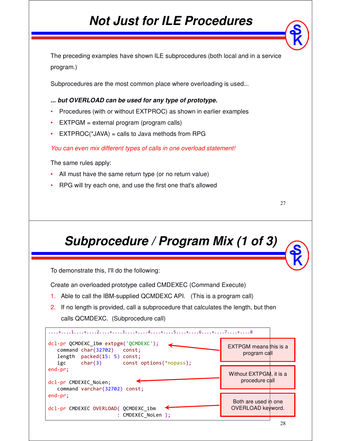#### *Not Just for ILE Procedures*

The preceding examples have shown ILE subprocedures (both local and in a service program.)

Subprocedures are the most common place where overloading is used...

*... but OVERLOAD can be used for any type of prototype.* 

- Procedures (with or without EXTPROC) as shown in earlier examples
- EXTPGM = external program (program calls)
- $EXTPROC(*JAVA) = calls to Java methods from RPG$

*You can even mix different types of calls in one overload statement!*

The same rules apply:

- All must have the same return type (or no return value)
- RPG will try each one, and use the first one that's allowed

## *Subprocedure / Program Mix (1 of 3)*

To demonstrate this, I'll do the following:

Create an overloaded prototype called CMDEXEC (Command Execute)

- 1. Able to call the IBM-supplied QCMDEXC API. (This is a program call)
- 2. If no length is provided, call a subprocedure that calculates the length, but then calls QCMDEXC. (Subprocedure call)

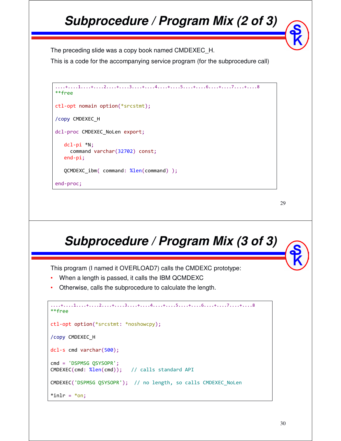